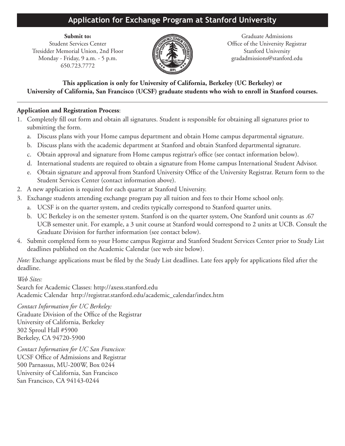## **Application for Exchange Program at Stanford University**

Tresidder Memorial Union, 2nd Floor File Allen Stanford University Monday - Friday, 9 a.m. - 5 p.m.  $\mathbb{H}$   $\mathbb{H}$   $\mathbb{H}$   $\mathbb{H}$  gradadmissions@stanford.edu 650.723.7772



**Submit to:** Graduate Admissions Student Services Center **Called All Contains and Contains Contains Contains Contains Contains Contains and Contains Contains Contains and Office of the University Registrar** 

**This application is only for University of California, Berkeley (UC Berkeley) or University of California, San Francisco (UCSF) graduate students who wish to enroll in Stanford courses.**

## **Application and Registration Process**:

- 1. Completely fill out form and obtain all signatures. Student is responsible for obtaining all signatures prior to submitting the form.
	- a. Discuss plans with your Home campus department and obtain Home campus departmental signature.
	- b. Discuss plans with the academic department at Stanford and obtain Stanford departmental signature.
	- c. Obtain approval and signature from Home campus registrar's office (see contact information below).
	- d. International students are required to obtain a signature from Home campus International Student Advisor.
	- e. Obtain signature and approval from Stanford University Office of the University Registrar. Return form to the Student Services Center (contact information above).
- 2. A new application is required for each quarter at Stanford University.
- 3. Exchange students attending exchange program pay all tuition and fees to their Home school only.
	- a. UCSF is on the quarter system, and credits typically correspond to Stanford quarter units.
	- b. UC Berkeley is on the semester system. Stanford is on the quarter system, One Stanford unit counts as .67 UCB semester unit. For example, a 3 unit course at Stanford would correspond to 2 units at UCB. Consult the Graduate Division for further information (see contact below).
- 4. Submit completed form to your Home campus Registrar and Stanford Student Services Center prior to Study List deadlines published on the Academic Calendar (see web site below).

*Note:* Exchange applications must be filed by the Study List deadlines. Late fees apply for applications filed after the deadline.

*Web Sites:*

Search for Academic Classes: http://axess.stanford.edu Academic Calendar http://registrar.stanford.edu/academic\_calendar/index.htm

*Contact Information for UC Berkeley:* Graduate Division of the Office of the Registrar University of California, Berkeley 302 Sproul Hall #5900 Berkeley, CA 94720-5900

*Contact Information for UC San Francisco:* UCSF Office of Admissions and Registrar 500 Parnassus, MU-200W, Box 0244 University of California, San Francisco San Francisco, CA 94143-0244